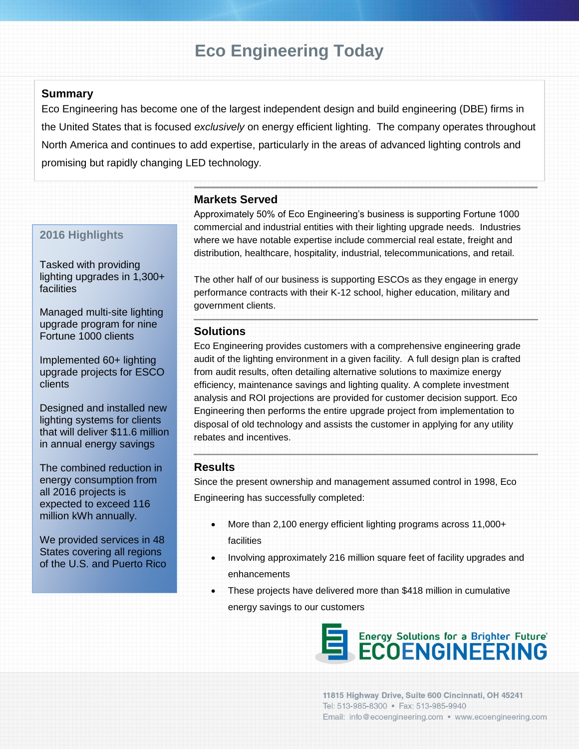# **Eco Engineering Today**

# **Summary**

Eco Engineering has become one of the largest independent design and build engineering (DBE) firms in the United States that is focused *exclusively* on energy efficient lighting. The company operates throughout North America and continues to add expertise, particularly in the areas of advanced lighting controls and promising but rapidly changing LED technology.

# **Markets Served**

# **2016 Highlights**

Tasked with providing lighting upgrades in 1,300+ facilities

Managed multi-site lighting upgrade program for nine Fortune 1000 clients

Implemented 60+ lighting upgrade projects for ESCO clients

Designed and installed new lighting systems for clients that will deliver \$11.6 million in annual energy savings

The combined reduction in energy consumption from all 2016 projects is expected to exceed 116 million kWh annually.

We provided services in 48 States covering all regions of the U.S. and Puerto Rico Approximately 50% of Eco Engineering's business is supporting Fortune 1000 commercial and industrial entities with their lighting upgrade needs. Industries where we have notable expertise include commercial real estate, freight and distribution, healthcare, hospitality, industrial, telecommunications, and retail.

The other half of our business is supporting ESCOs as they engage in energy performance contracts with their K-12 school, higher education, military and government clients.

### **Solutions**

Eco Engineering provides customers with a comprehensive engineering grade audit of the lighting environment in a given facility. A full design plan is crafted from audit results, often detailing alternative solutions to maximize energy efficiency, maintenance savings and lighting quality. A complete investment analysis and ROI projections are provided for customer decision support. Eco Engineering then performs the entire upgrade project from implementation to disposal of old technology and assists the customer in applying for any utility rebates and incentives.

### **Results**

Since the present ownership and management assumed control in 1998, Eco Engineering has successfully completed:

- More than 2,100 energy efficient lighting programs across 11,000+ facilities
- Involving approximately 216 million square feet of facility upgrades and enhancements
- These projects have delivered more than \$418 million in cumulative energy savings to our customers